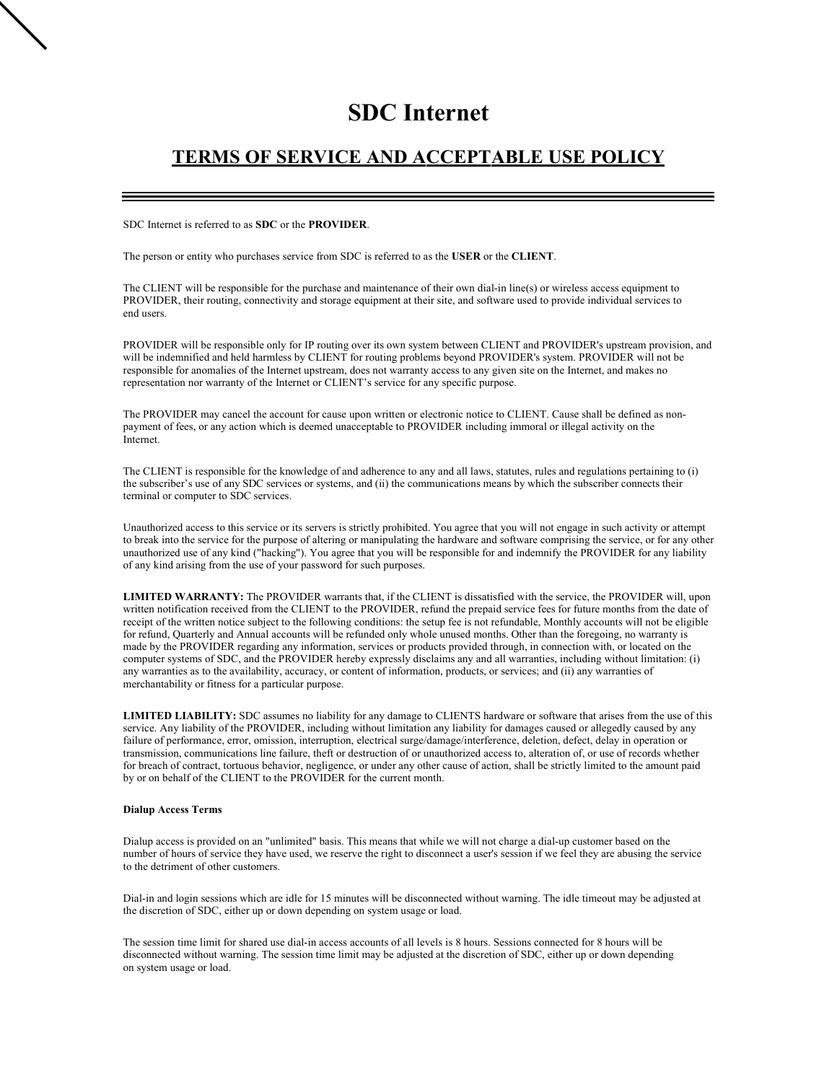# **SDC Internet**

# **TERMS OF SERVICE AND ACCEPTABLE USE POLICY**

SDC Internet is referred to as **SDC** or the **PROVIDER**.

The person or entity who purchases service from SDC is referred to as the **USER** or the **CLIENT**.

The CLIENT will be responsible for the purchase and maintenance of their own dial-in line(s) or wireless access equipment to PROVIDER, their routing, connectivity and storage equipment at their site, and software used to provide individual services to end users.

PROVIDER will be responsible only for IP routing over its own system between CLIENT and PROVIDER's upstream provision, and will be indemnified and held harmless by CLIENT for routing problems beyond PROVIDER's system. PROVIDER will not be responsible for anomalies of the Internet upstream, does not warranty access to any given site on the Internet, and makes no representation nor warranty of the Internet or CLIENT's service for any specific purpose.

The PROVIDER may cancel the account for cause upon written or electronic notice to CLIENT. Cause shall be defined as nonpayment of fees, or any action which is deemed unacceptable to PROVIDER including immoral or illegal activity on the Internet.

The CLIENT is responsible for the knowledge of and adherence to any and all laws, statutes, rules and regulations pertaining to (i) the subscriber's use of any SDC services or systems, and (ii) the communications means by which the subscriber connects their terminal or computer to SDC services.

Unauthorized access to this service or its servers is strictly prohibited. You agree that you will not engage in such activity or attempt to break into the service for the purpose of altering or manipulating the hardware and software comprising the service, or for any other unauthorized use of any kind ("hacking"). You agree that you will be responsible for and indemnify the PROVIDER for any liability of any kind arising from the use of your password for such purposes.

**LIMITED WARRANTY:** The PROVIDER warrants that, if the CLIENT is dissatisfied with the service, the PROVIDER will, upon written notification received from the CLIENT to the PROVIDER, refund the prepaid service fees for future months from the date of receipt of the written notice subject to the following conditions: the setup fee is not refundable, Monthly accounts will not be eligible for refund, Quarterly and Annual accounts will be refunded only whole unused months. Other than the foregoing, no warranty is made by the PROVIDER regarding any information, services or products provided through, in connection with, or located on the computer systems of SDC, and the PROVIDER hereby expressly disclaims any and all warranties, including without limitation: (i) any warranties as to the availability, accuracy, or content of information, products, or services; and (ii) any warranties of merchantability or fitness for a particular purpose.

**LIMITED LIABILITY:** SDC assumes no liability for any damage to CLIENTS hardware or software that arises from the use of this service. Any liability of the PROVIDER, including without limitation any liability for damages caused or allegedly caused by any failure of performance, error, omission, interruption, electrical surge/damage/interference, deletion, defect, delay in operation or transmission, communications line failure, theft or destruction of or unauthorized access to, alteration of, or use of records whether for breach of contract, tortuous behavior, negligence, or under any other cause of action, shall be strictly limited to the amount paid by or on behalf of the CLIENT to the PROVIDER for the current month.

#### **Dialup Access Terms**

Dialup access is provided on an "unlimited" basis. This means that while we will not charge a dial-up customer based on the number of hours of service they have used, we reserve the right to disconnect a user's session if we feel they are abusing the service to the detriment of other customers.

Dial-in and login sessions which are idle for 15 minutes will be disconnected without warning. The idle timeout may be adjusted at the discretion of SDC, either up or down depending on system usage or load.

The session time limit for shared use dial-in access accounts of all levels is 8 hours. Sessions connected for 8 hours will be disconnected without warning. The session time limit may be adjusted at the discretion of SDC, either up or down depending on system usage or load.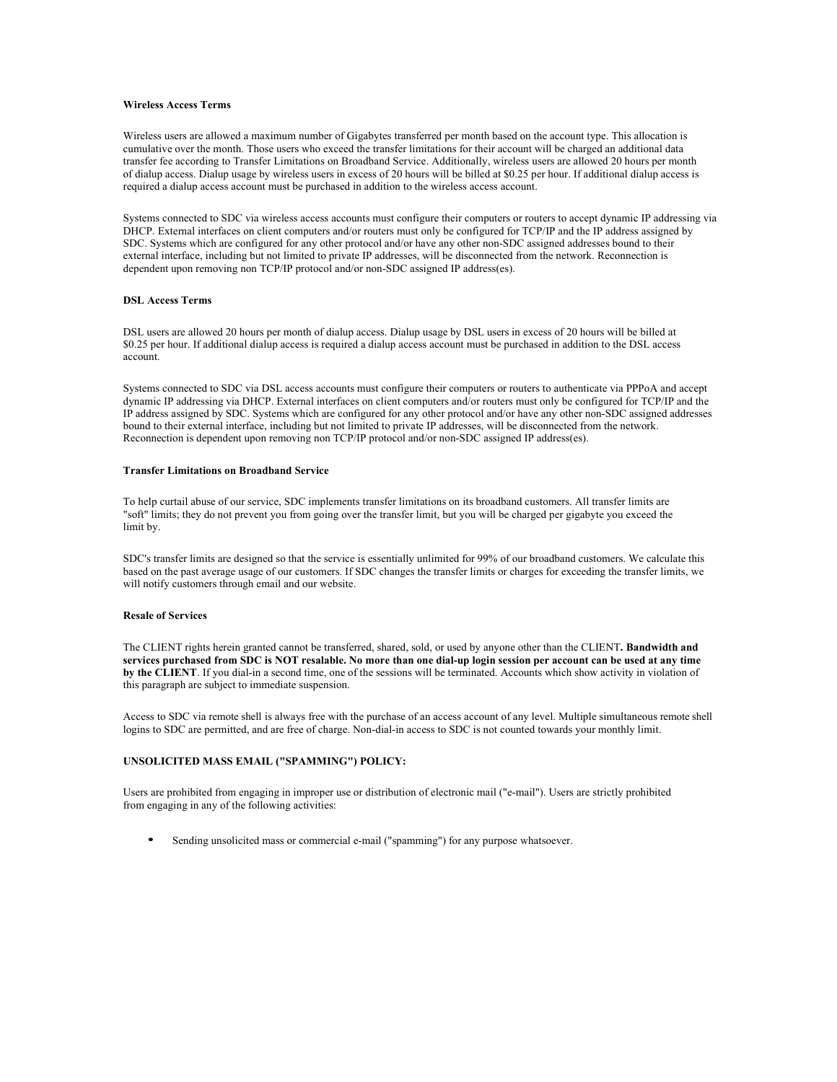#### **Wireless Access Terms**

Wireless users are allowed a maximum number of Gigabytes transferred per month based on the account type. This allocation is cumulative over the month. Those users who exceed the transfer limitations for their account will be charged an additional data transfer fee according to Transfer Limitations on Broadband Service. Additionally, wireless users are allowed 20 hours per month of dialup access. Dialup usage by wireless users in excess of 20 hours will be billed at \$0.25 per hour. If additional dialup access is required a dialup access account must be purchased in addition to the wireless access account.

Systems connected to SDC via wireless access accounts must configure their computers or routers to accept dynamic IP addressing via DHCP. External interfaces on client computers and/or routers must only be configured for TCP/IP and the IP address assigned by SDC. Systems which are configured for any other protocol and/or have any other non-SDC assigned addresses bound to their external interface, including but not limited to private IP addresses, will be disconnected from the network. Reconnection is dependent upon removing non TCP/IP protocol and/or non-SDC assigned IP address(es).

### **DSL Access Terms**

DSL users are allowed 20 hours per month of dialup access. Dialup usage by DSL users in excess of 20 hours will be billed at \$0.25 per hour. If additional dialup access is required a dialup access account must be purchased in addition to the DSL access account.

Systems connected to SDC via DSL access accounts must configure their computers or routers to authenticate via PPPoA and accept dynamic IP addressing via DHCP. External interfaces on client computers and/or routers must only be configured for TCP/IP and the IP address assigned by SDC. Systems which are configured for any other protocol and/or have any other non-SDC assigned addresses bound to their external interface, including but not limited to private IP addresses, will be disconnected from the network. Reconnection is dependent upon removing non TCP/IP protocol and/or non-SDC assigned IP address(es).

#### **Transfer Limitations on Broadband Service**

To help curtail abuse of our service, SDC implements transfer limitations on its broadband customers. All transfer limits are "soft" limits; they do not prevent you from going over the transfer limit, but you will be charged per gigabyte you exceed the limit by.

SDC's transfer limits are designed so that the service is essentially unlimited for 99% of our broadband customers. We calculate this based on the past average usage of our customers. If SDC changes the transfer limits or charges for exceeding the transfer limits, we will notify customers through email and our website.

#### **Resale of Services**

The CLIENT rights herein granted cannot be transferred, shared, sold, or used by anyone other than the CLIENT**. Bandwidth and**  services purchased from SDC is NOT resalable. No more than one dial-up login session per account can be used at any time **by the CLIENT**. If you dial-in a second time, one of the sessions will be terminated. Accounts which show activity in violation of this paragraph are subject to immediate suspension.

Access to SDC via remote shell is always free with the purchase of an access account of any level. Multiple simultaneous remote shell logins to SDC are permitted, and are free of charge. Non-dial-in access to SDC is not counted towards your monthly limit.

## **UNSOLICITED MASS EMAIL ("SPAMMING") POLICY:**

Users are prohibited from engaging in improper use or distribution of electronic mail ("e-mail"). Users are strictly prohibited from engaging in any of the following activities:

• Sending unsolicited mass or commercial e-mail ("spamming") for any purpose whatsoever.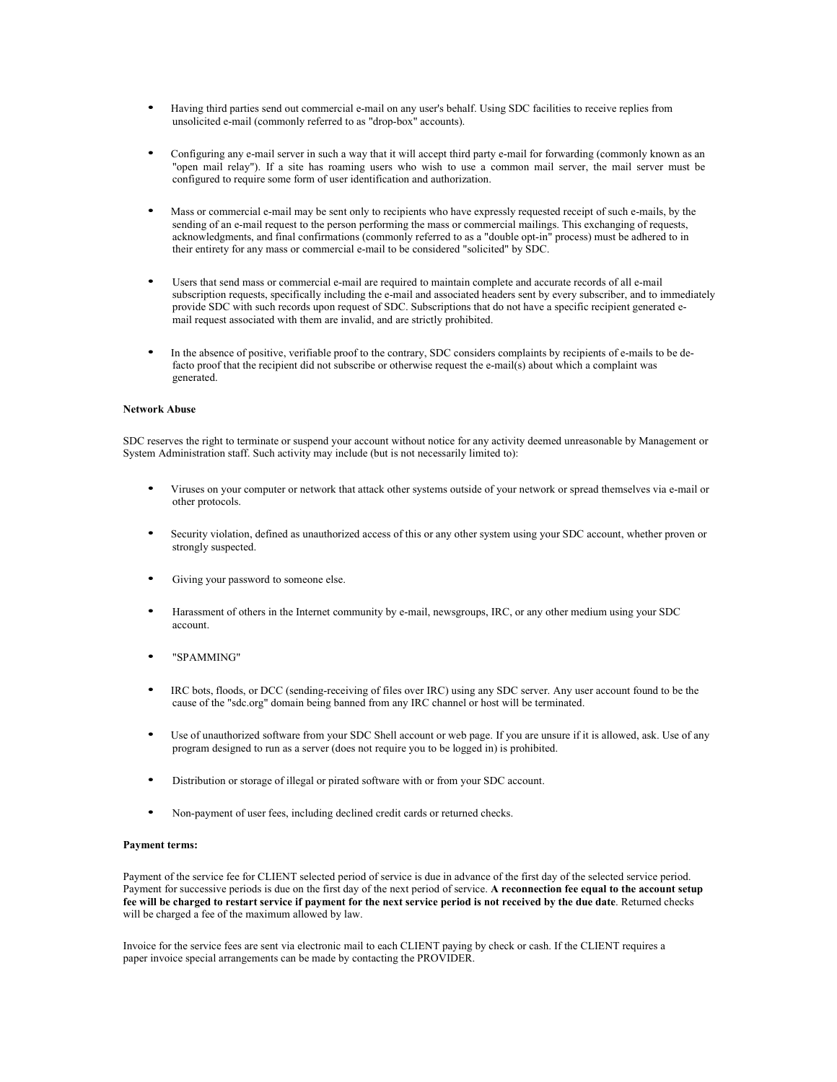- Having third parties send out commercial e-mail on any user's behalf. Using SDC facilities to receive replies from unsolicited e-mail (commonly referred to as "drop-box" accounts).
- Configuring any e-mail server in such a way that it will accept third party e-mail for forwarding (commonly known as an "open mail relay"). If a site has roaming users who wish to use a common mail server, the mail server must be configured to require some form of user identification and authorization.
- Mass or commercial e-mail may be sent only to recipients who have expressly requested receipt of such e-mails, by the sending of an e-mail request to the person performing the mass or commercial mailings. This exchanging of requests, acknowledgments, and final confirmations (commonly referred to as a "double opt-in" process) must be adhered to in their entirety for any mass or commercial e-mail to be considered "solicited" by SDC.
- Users that send mass or commercial e-mail are required to maintain complete and accurate records of all e-mail subscription requests, specifically including the e-mail and associated headers sent by every subscriber, and to immediately provide SDC with such records upon request of SDC. Subscriptions that do not have a specific recipient generated email request associated with them are invalid, and are strictly prohibited.
- In the absence of positive, verifiable proof to the contrary, SDC considers complaints by recipients of e-mails to be defacto proof that the recipient did not subscribe or otherwise request the e-mail(s) about which a complaint was generated.

#### **Network Abuse**

SDC reserves the right to terminate or suspend your account without notice for any activity deemed unreasonable by Management or System Administration staff. Such activity may include (but is not necessarily limited to):

- Viruses on your computer or network that attack other systems outside of your network or spread themselves via e-mail or other protocols.
- Security violation, defined as unauthorized access of this or any other system using your SDC account, whether proven or strongly suspected.
- Giving your password to someone else.
- Harassment of others in the Internet community by e-mail, newsgroups, IRC, or any other medium using your SDC account.
- "SPAMMING"
- IRC bots, floods, or DCC (sending-receiving of files over IRC) using any SDC server. Any user account found to be the cause of the "sdc.org" domain being banned from any IRC channel or host will be terminated.
- Use of unauthorized software from your SDC Shell account or web page. If you are unsure if it is allowed, ask. Use of any program designed to run as a server (does not require you to be logged in) is prohibited.
- Distribution or storage of illegal or pirated software with or from your SDC account.
- Non-payment of user fees, including declined credit cards or returned checks.

#### **Payment terms:**

Payment of the service fee for CLIENT selected period of service is due in advance of the first day of the selected service period. Payment for successive periods is due on the first day of the next period of service. **A reconnection fee equal to the account setup fee will be charged to restart service if payment for the next service period is not received by the due date**. Returned checks will be charged a fee of the maximum allowed by law.

Invoice for the service fees are sent via electronic mail to each CLIENT paying by check or cash. If the CLIENT requires a paper invoice special arrangements can be made by contacting the PROVIDER.